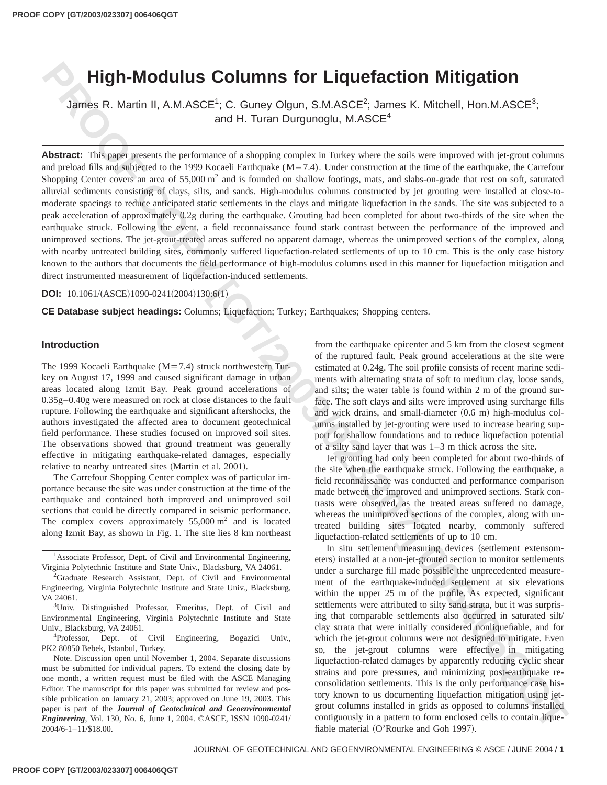# **High-Modulus Columns for Liquefaction Mitigation**

James R. Martin II, A.M.ASCE<sup>1</sup>; C. Guney Olgun, S.M.ASCE<sup>2</sup>; James K. Mitchell, Hon.M.ASCE<sup>3</sup>; and H. Turan Durgunoglu, M.ASCE $4$ 

**High-Modulus Columns for Liquestaction Mitigation<br>
2. Since R. Martin II. A.M.ASCE<sup>1</sup>: C. Comp () (lgm, S.M.ASCE<sup>2</sup>: Lamber 2. New Proposition Field Mission Company (1997). AND Company in Taker these design and the Missi** Abstract: This paper presents the performance of a shopping complex in Turkey where the soils were improved with jet-grout columns and preload fills and subjected to the 1999 Kocaeli Earthquake  $(M=7.4)$ . Under construction at the time of the earthquake, the Carrefour Shopping Center covers an area of  $55,000 \text{ m}^2$  and is founded on shallow footings, mats, and slabs-on-grade that rest on soft, saturated alluvial sediments consisting of clays, silts, and sands. High-modulus columns constructed by jet grouting were installed at close-tomoderate spacings to reduce anticipated static settlements in the clays and mitigate liquefaction in the sands. The site was subjected to a peak acceleration of approximately 0.2g during the earthquake. Grouting had been completed for about two-thirds of the site when the earthquake struck. Following the event, a field reconnaissance found stark contrast between the performance of the improved and unimproved sections. The jet-grout-treated areas suffered no apparent damage, whereas the unimproved sections of the complex, along with nearby untreated building sites, commonly suffered liquefaction-related settlements of up to 10 cm. This is the only case history known to the authors that documents the field performance of high-modulus columns used in this manner for liquefaction mitigation and direct instrumented measurement of liquefaction-induced settlements.

**DOI:**  $10.1061/(ASCE)1090-0241(2004)130:6(1)$ 

**CE Database subject headings:** Columns; Liquefaction; Turkey; Earthquakes; Shopping centers.

#### **Introduction**

The 1999 Kocaeli Earthquake ( $M=7.4$ ) struck northwestern Turkey on August 17, 1999 and caused significant damage in urban areas located along Izmit Bay. Peak ground accelerations of 0.35g–0.40g were measured on rock at close distances to the fault rupture. Following the earthquake and significant aftershocks, the authors investigated the affected area to document geotechnical field performance. These studies focused on improved soil sites. The observations showed that ground treatment was generally effective in mitigating earthquake-related damages, especially relative to nearby untreated sites (Martin et al. 2001).

The Carrefour Shopping Center complex was of particular importance because the site was under construction at the time of the earthquake and contained both improved and unimproved soil sections that could be directly compared in seismic performance. The complex covers approximately  $55,000 \text{ m}^2$  and is located along Izmit Bay, as shown in Fig. 1. The site lies 8 km northeast

<sup>1</sup>Associate Professor, Dept. of Civil and Environmental Engineering, Virginia Polytechnic Institute and State Univ., Blacksburg, VA 24061.

<sup>2</sup>Graduate Research Assistant, Dept. of Civil and Environmental Engineering, Virginia Polytechnic Institute and State Univ., Blacksburg, VA 24061.

<sup>3</sup>Univ. Distinguished Professor, Emeritus, Dept. of Civil and Environmental Engineering, Virginia Polytechnic Institute and State Univ., Blacksburg, VA 24061.

<sup>4</sup>Professor, Dept. of Civil Engineering, Bogazici Univ., PK2 80850 Bebek, Istanbul, Turkey.

Note. Discussion open until November 1, 2004. Separate discussions must be submitted for individual papers. To extend the closing date by one month, a written request must be filed with the ASCE Managing Editor. The manuscript for this paper was submitted for review and possible publication on January 21, 2003; approved on June 19, 2003. This paper is part of the *Journal of Geotechnical and Geoenvironmental Engineering*, Vol. 130, No. 6, June 1, 2004. ©ASCE, ISSN 1090-0241/ 2004/6-1–11/\$18.00.

from the earthquake epicenter and 5 km from the closest segment of the ruptured fault. Peak ground accelerations at the site were estimated at 0.24g. The soil profile consists of recent marine sediments with alternating strata of soft to medium clay, loose sands, and silts; the water table is found within 2 m of the ground surface. The soft clays and silts were improved using surcharge fills and wick drains, and small-diameter  $(0.6 \text{ m})$  high-modulus columns installed by jet-grouting were used to increase bearing support for shallow foundations and to reduce liquefaction potential of a silty sand layer that was 1–3 m thick across the site.

Jet grouting had only been completed for about two-thirds of the site when the earthquake struck. Following the earthquake, a field reconnaissance was conducted and performance comparison made between the improved and unimproved sections. Stark contrasts were observed, as the treated areas suffered no damage, whereas the unimproved sections of the complex, along with untreated building sites located nearby, commonly suffered liquefaction-related settlements of up to 10 cm.

In situ settlement measuring devices (settlement extensometers) installed at a non-jet-grouted section to monitor settlements under a surcharge fill made possible the unprecedented measurement of the earthquake-induced settlement at six elevations within the upper 25 m of the profile. As expected, significant settlements were attributed to silty sand strata, but it was surprising that comparable settlements also occurred in saturated silt/ clay strata that were initially considered nonliquefiable, and for which the jet-grout columns were not designed to mitigate. Even so, the jet-grout columns were effective in mitigating liquefaction-related damages by apparently reducing cyclic shear strains and pore pressures, and minimizing post-earthquake reconsolidation settlements. This is the only performance case history known to us documenting liquefaction mitigation using jetgrout columns installed in grids as opposed to columns installed contiguously in a pattern to form enclosed cells to contain liquefiable material  $(O'Rourke$  and Goh 1997).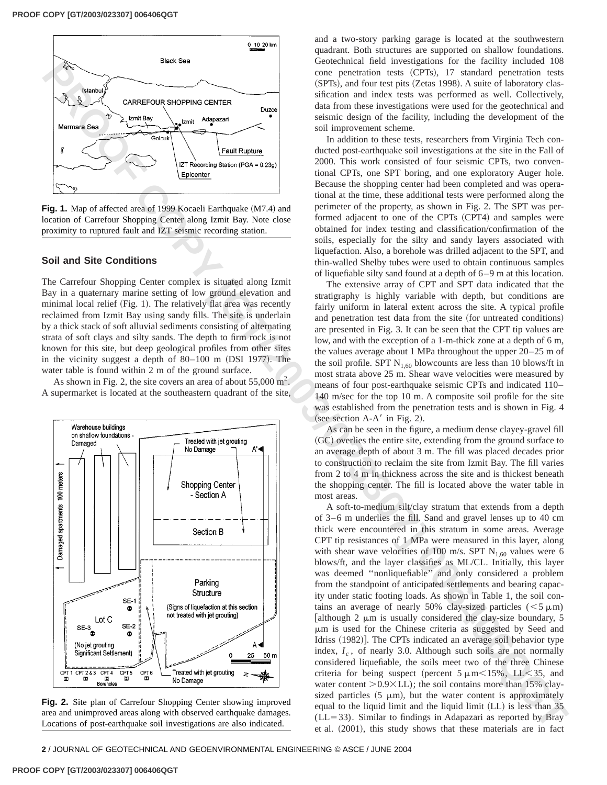

**Fig. 1.** Map of affected area of 1999 Kocaeli Earthquake (M7.4) and location of Carrefour Shopping Center along Izmit Bay. Note close proximity to ruptured fault and IZT seismic recording station.

# **Soil and Site Conditions**

The Carrefour Shopping Center complex is situated along Izmit Bay in a quaternary marine setting of low ground elevation and minimal local relief (Fig. 1). The relatively flat area was recently reclaimed from Izmit Bay using sandy fills. The site is underlain by a thick stack of soft alluvial sediments consisting of alternating strata of soft clays and silty sands. The depth to firm rock is not known for this site, but deep geological profiles from other sites in the vicinity suggest a depth of  $80-100$  m (DSI 1977). The water table is found within 2 m of the ground surface.

As shown in Fig. 2, the site covers an area of about  $55,000 \text{ m}^2$ . A supermarket is located at the southeastern quadrant of the site,



**Fig. 2.** Site plan of Carrefour Shopping Center showing improved area and unimproved areas along with observed earthquake damages. Locations of post-earthquake soil investigations are also indicated.

and a two-story parking garage is located at the southwestern quadrant. Both structures are supported on shallow foundations. Geotechnical field investigations for the facility included 108 cone penetration tests (CPTs), 17 standard penetration tests (SPTs), and four test pits (Zetas 1998). A suite of laboratory classification and index tests was performed as well. Collectively, data from these investigations were used for the geotechnical and seismic design of the facility, including the development of the soil improvement scheme.

In addition to these tests, researchers from Virginia Tech conducted post-earthquake soil investigations at the site in the Fall of 2000. This work consisted of four seismic CPTs, two conventional CPTs, one SPT boring, and one exploratory Auger hole. Because the shopping center had been completed and was operational at the time, these additional tests were performed along the perimeter of the property, as shown in Fig. 2. The SPT was performed adjacent to one of the CPTs (CPT4) and samples were obtained for index testing and classification/confirmation of the soils, especially for the silty and sandy layers associated with liquefaction. Also, a borehole was drilled adjacent to the SPT, and thin-walled Shelby tubes were used to obtain continuous samples of liquefiable silty sand found at a depth of 6–9 m at this location.

The extensive array of CPT and SPT data indicated that the stratigraphy is highly variable with depth, but conditions are fairly uniform in lateral extent across the site. A typical profile and penetration test data from the site (for untreated conditions) are presented in Fig. 3. It can be seen that the CPT tip values are low, and with the exception of a 1-m-thick zone at a depth of 6 m, the values average about 1 MPa throughout the upper 20–25 m of the soil profile. SPT  $N_{1,60}$  blowcounts are less than 10 blows/ft in most strata above 25 m. Shear wave velocities were measured by means of four post-earthquake seismic CPTs and indicated 110– 140 m/sec for the top 10 m. A composite soil profile for the site was established from the penetration tests and is shown in Fig. 4 (see section  $A-A'$  in Fig. 2).

As can be seen in the figure, a medium dense clayey-gravel fill (GC) overlies the entire site, extending from the ground surface to an average depth of about 3 m. The fill was placed decades prior to construction to reclaim the site from Izmit Bay. The fill varies from 2 to 4 m in thickness across the site and is thickest beneath the shopping center. The fill is located above the water table in most areas.

A soft-to-medium silt/clay stratum that extends from a depth of 3–6 m underlies the fill. Sand and gravel lenses up to 40 cm thick were encountered in this stratum in some areas. Average CPT tip resistances of 1 MPa were measured in this layer, along with shear wave velocities of 100 m/s. SPT  $N_{1,60}$  values were 6 blows/ft, and the layer classifies as ML/CL. Initially, this layer was deemed ''nonliquefiable'' and only considered a problem from the standpoint of anticipated settlements and bearing capacity under static footing loads. As shown in Table 1, the soil contains an average of nearly 50% clay-sized particles  $(< 5 \mu m)$ [although 2  $\mu$ m is usually considered the clay-size boundary, 5 mm is used for the Chinese criteria as suggested by Seed and Idriss (1982). The CPTs indicated an average soil behavior type index,  $I_c$ , of nearly 3.0. Although such soils are not normally considered liquefiable, the soils meet two of the three Chinese criteria for being suspect (percent  $5 \mu \text{m} < 15\%$ , LL $< 35$ , and water content  $> 0.9 \times$  LL); the soil contains more than 15% claysized particles  $(5 \mu m)$ , but the water content is approximately equal to the liquid limit and the liquid limit  $(LL)$  is less than 35  $(LL=33)$ . Similar to findings in Adapazari as reported by Bray et al.  $(2001)$ , this study shows that these materials are in fact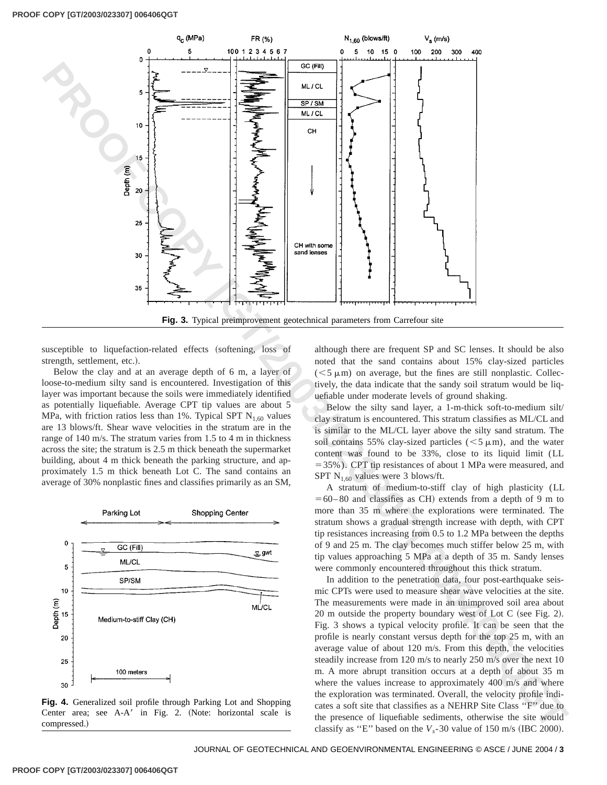

**Fig. 3.** Typical preimprovement geotechnical parameters from Carrefour site

susceptible to liquefaction-related effects (softening, loss of strength, settlement, etc.).

Below the clay and at an average depth of 6 m, a layer of loose-to-medium silty sand is encountered. Investigation of this layer was important because the soils were immediately identified as potentially liquefiable. Average CPT tip values are about 5 MPa, with friction ratios less than 1%. Typical SPT  $N_{1,60}$  values are 13 blows/ft. Shear wave velocities in the stratum are in the range of 140 m/s. The stratum varies from 1.5 to 4 m in thickness across the site; the stratum is 2.5 m thick beneath the supermarket building, about 4 m thick beneath the parking structure, and approximately 1.5 m thick beneath Lot C. The sand contains an average of 30% nonplastic fines and classifies primarily as an SM,



**Fig. 4.** Generalized soil profile through Parking Lot and Shopping Center area; see A-A' in Fig. 2. (Note: horizontal scale is compressed.)

although there are frequent SP and SC lenses. It should be also noted that the sand contains about 15% clay-sized particles  $(< 5 \mu m)$  on average, but the fines are still nonplastic. Collectively, the data indicate that the sandy soil stratum would be liquefiable under moderate levels of ground shaking.

Below the silty sand layer, a 1-m-thick soft-to-medium silt/ clay stratum is encountered. This stratum classifies as ML/CL and is similar to the ML/CL layer above the silty sand stratum. The soil contains 55% clay-sized particles ( $\leq$ 5  $\mu$ m), and the water content was found to be 33%, close to its liquid limit (LL  $=$  35%). CPT tip resistances of about 1 MPa were measured, and SPT  $N_{1,60}$  values were 3 blows/ft.

A stratum of medium-to-stiff clay of high plasticity (LL  $=60-80$  and classifies as CH) extends from a depth of 9 m to more than 35 m where the explorations were terminated. The stratum shows a gradual strength increase with depth, with CPT tip resistances increasing from 0.5 to 1.2 MPa between the depths of 9 and 25 m. The clay becomes much stiffer below 25 m, with tip values approaching 5 MPa at a depth of 35 m. Sandy lenses were commonly encountered throughout this thick stratum.

In addition to the penetration data, four post-earthquake seismic CPTs were used to measure shear wave velocities at the site. The measurements were made in an unimproved soil area about  $20$  m outside the property boundary west of Lot C (see Fig. 2). Fig. 3 shows a typical velocity profile. It can be seen that the profile is nearly constant versus depth for the top 25 m, with an average value of about 120 m/s. From this depth, the velocities steadily increase from 120 m/s to nearly 250 m/s over the next 10 m. A more abrupt transition occurs at a depth of about 35 m where the values increase to approximately 400 m/s and where the exploration was terminated. Overall, the velocity profile indicates a soft site that classifies as a NEHRP Site Class ''F'' due to the presence of liquefiable sediments, otherwise the site would classify as "E" based on the  $V_s$ -30 value of 150 m/s (IBC 2000).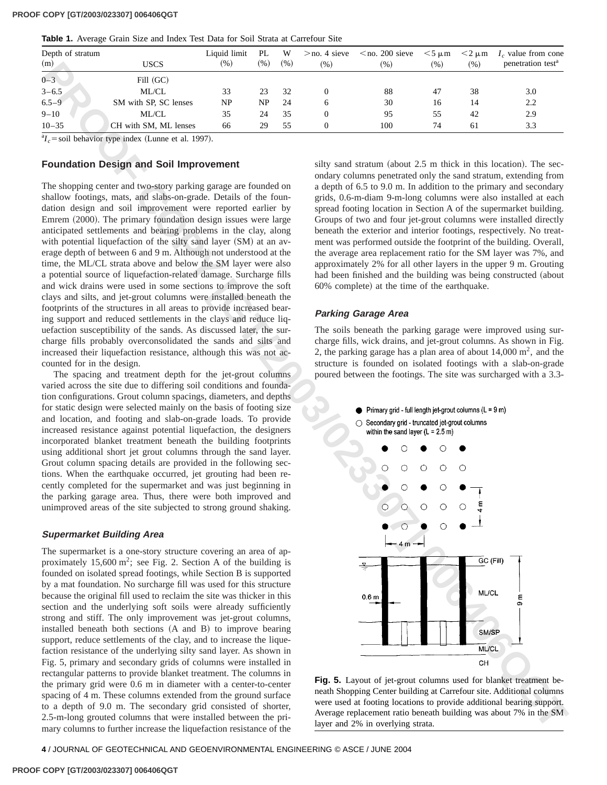|  |  |  |  |  |  |  |  |  |  |  |  |  | Table 1. Average Grain Size and Index Test Data for Soil Strata at Carrefour Site |  |
|--|--|--|--|--|--|--|--|--|--|--|--|--|-----------------------------------------------------------------------------------|--|
|--|--|--|--|--|--|--|--|--|--|--|--|--|-----------------------------------------------------------------------------------|--|

| Depth of stratum<br>(m) | <b>USCS</b>           | Liquid limit<br>(% ) | PL<br>(% ) | W<br>(% ) | $>$ no. 4 sieve<br>(96) | $\leq$ no. 200 sieve<br>$(\% )$ | $<$ 5 $\mu$ m<br>(% ) | $<$ 2 $\mu$ m<br>(% ) | $I_c$ value from cone<br>penetration test <sup>a</sup> |
|-------------------------|-----------------------|----------------------|------------|-----------|-------------------------|---------------------------------|-----------------------|-----------------------|--------------------------------------------------------|
| $0 - 3$                 | Fill (GC)             |                      |            |           |                         |                                 |                       |                       |                                                        |
| $3 - 6.5$               | ML/CL                 | 33                   | 23         | 32        |                         | 88                              | 47                    | 38                    | 3.0                                                    |
| $6.5 - 9$               | SM with SP, SC lenses | NP                   | NP         | -24       | 6                       | 30                              | 16                    | 14                    | 2.2                                                    |
| $9 - 10$                | ML/CL                 | 35                   | 24         | 35        |                         | 95                              | 55                    | 42                    | 2.9                                                    |
| $10 - 35$               | CH with SM, ML lenses | 66                   | 29         | 55        |                         | 100                             | 74                    | 61                    | 3.3                                                    |

 ${}^{a}I_c$  = soil behavior type index (Lunne et al. 1997).

# **Foundation Design and Soil Improvement**

The shopping center and two-story parking garage are founded on shallow footings, mats, and slabs-on-grade. Details of the foundation design and soil improvement were reported earlier by Emrem  $(2000)$ . The primary foundation design issues were large anticipated settlements and bearing problems in the clay, along with potential liquefaction of the silty sand layer (SM) at an average depth of between 6 and 9 m. Although not understood at the time, the ML/CL strata above and below the SM layer were also a potential source of liquefaction-related damage. Surcharge fills and wick drains were used in some sections to improve the soft clays and silts, and jet-grout columns were installed beneath the footprints of the structures in all areas to provide increased bearing support and reduced settlements in the clays and reduce liquefaction susceptibility of the sands. As discussed later, the surcharge fills probably overconsolidated the sands and silts and increased their liquefaction resistance, although this was not accounted for in the design.

The spacing and treatment depth for the jet-grout columns varied across the site due to differing soil conditions and foundation configurations. Grout column spacings, diameters, and depths for static design were selected mainly on the basis of footing size and location, and footing and slab-on-grade loads. To provide increased resistance against potential liquefaction, the designers incorporated blanket treatment beneath the building footprints using additional short jet grout columns through the sand layer. Grout column spacing details are provided in the following sections. When the earthquake occurred, jet grouting had been recently completed for the supermarket and was just beginning in the parking garage area. Thus, there were both improved and unimproved areas of the site subjected to strong ground shaking.

#### **Supermarket Building Area**

The supermarket is a one-story structure covering an area of approximately  $15,600 \text{ m}^2$ ; see Fig. 2. Section A of the building is founded on isolated spread footings, while Section B is supported by a mat foundation. No surcharge fill was used for this structure because the original fill used to reclaim the site was thicker in this section and the underlying soft soils were already sufficiently strong and stiff. The only improvement was jet-grout columns, installed beneath both sections  $(A \text{ and } B)$  to improve bearing support, reduce settlements of the clay, and to increase the liquefaction resistance of the underlying silty sand layer. As shown in Fig. 5, primary and secondary grids of columns were installed in rectangular patterns to provide blanket treatment. The columns in the primary grid were 0.6 m in diameter with a center-to-center spacing of 4 m. These columns extended from the ground surface to a depth of 9.0 m. The secondary grid consisted of shorter, 2.5-m-long grouted columns that were installed between the primary columns to further increase the liquefaction resistance of the

silty sand stratum (about  $2.5$  m thick in this location). The secondary columns penetrated only the sand stratum, extending from a depth of 6.5 to 9.0 m. In addition to the primary and secondary grids, 0.6-m-diam 9-m-long columns were also installed at each spread footing location in Section A of the supermarket building. Groups of two and four jet-grout columns were installed directly beneath the exterior and interior footings, respectively. No treatment was performed outside the footprint of the building. Overall, the average area replacement ratio for the SM layer was 7%, and approximately 2% for all other layers in the upper 9 m. Grouting had been finished and the building was being constructed (about 60% complete) at the time of the earthquake.

#### **Parking Garage Area**

The soils beneath the parking garage were improved using surcharge fills, wick drains, and jet-grout columns. As shown in Fig. 2, the parking garage has a plan area of about  $14,000 \text{ m}^2$ , and the structure is founded on isolated footings with a slab-on-grade poured between the footings. The site was surcharged with a 3.3-



**Fig. 5.** Layout of jet-grout columns used for blanket treatment beneath Shopping Center building at Carrefour site. Additional columns were used at footing locations to provide additional bearing support. Average replacement ratio beneath building was about 7% in the SM layer and 2% in overlying strata.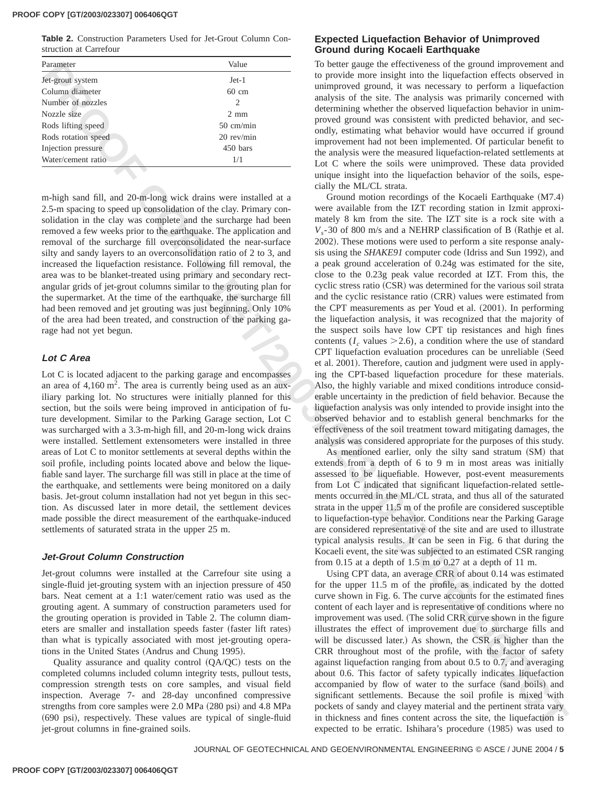#### **PROOF COPY [GT/2003/023307] 006406QGT**

**Table 2.** Construction Parameters Used for Jet-Grout Column Construction at Carrefour

| Parameter           | Value               |
|---------------------|---------------------|
| Jet-grout system    | $Jet-1$             |
| Column diameter     | $60 \text{ cm}$     |
| Number of nozzles   | $\mathcal{L}$       |
| Nozzle size         | $2 \text{ mm}$      |
| Rods lifting speed  | $50 \text{ cm/min}$ |
| Rods rotation speed | $20$ rev/min        |
| Injection pressure  | 450 bars            |
| Water/cement ratio  | 1/1                 |

m-high sand fill, and 20-m-long wick drains were installed at a 2.5-m spacing to speed up consolidation of the clay. Primary consolidation in the clay was complete and the surcharge had been removed a few weeks prior to the earthquake. The application and removal of the surcharge fill overconsolidated the near-surface silty and sandy layers to an overconsolidation ratio of 2 to 3, and increased the liquefaction resistance. Following fill removal, the area was to be blanket-treated using primary and secondary rectangular grids of jet-grout columns similar to the grouting plan for the supermarket. At the time of the earthquake, the surcharge fill had been removed and jet grouting was just beginning. Only 10% of the area had been treated, and construction of the parking garage had not yet begun.

# **Lot C Area**

Lot C is located adjacent to the parking garage and encompasses an area of  $4,160 \text{ m}^2$ . The area is currently being used as an auxiliary parking lot. No structures were initially planned for this section, but the soils were being improved in anticipation of future development. Similar to the Parking Garage section, Lot C was surcharged with a 3.3-m-high fill, and 20-m-long wick drains were installed. Settlement extensometers were installed in three areas of Lot C to monitor settlements at several depths within the soil profile, including points located above and below the liquefiable sand layer. The surcharge fill was still in place at the time of the earthquake, and settlements were being monitored on a daily basis. Jet-grout column installation had not yet begun in this section. As discussed later in more detail, the settlement devices made possible the direct measurement of the earthquake-induced settlements of saturated strata in the upper 25 m.

#### **Jet-Grout Column Construction**

Jet-grout columns were installed at the Carrefour site using a single-fluid jet-grouting system with an injection pressure of 450 bars. Neat cement at a 1:1 water/cement ratio was used as the grouting agent. A summary of construction parameters used for the grouting operation is provided in Table 2. The column diameters are smaller and installation speeds faster (faster lift rates) than what is typically associated with most jet-grouting operations in the United States (Andrus and Chung 1995).

Quality assurance and quality control  $(QA/QC)$  tests on the completed columns included column integrity tests, pullout tests, compression strength tests on core samples, and visual field inspection. Average 7- and 28-day unconfined compressive strengths from core samples were  $2.0$  MPa  $(280 \text{ psi})$  and  $4.8$  MPa  $(690 \text{ psi})$ , respectively. These values are typical of single-fluid jet-grout columns in fine-grained soils.

# **Expected Liquefaction Behavior of Unimproved Ground during Kocaeli Earthquake**

To better gauge the effectiveness of the ground improvement and to provide more insight into the liquefaction effects observed in unimproved ground, it was necessary to perform a liquefaction analysis of the site. The analysis was primarily concerned with determining whether the observed liquefaction behavior in unimproved ground was consistent with predicted behavior, and secondly, estimating what behavior would have occurred if ground improvement had not been implemented. Of particular benefit to the analysis were the measured liquefaction-related settlements at Lot C where the soils were unimproved. These data provided unique insight into the liquefaction behavior of the soils, especially the ML/CL strata.

From the main of the special of the special of the special of the special of the special of the special of the special of the special of the special of the special of the special of the special of the special of the speci Ground motion recordings of the Kocaeli Earthquake  $(M7.4)$ were available from the IZT recording station in Izmit approximately 8 km from the site. The IZT site is a rock site with a  $V_s$ -30 of 800 m/s and a NEHRP classification of B (Rathje et al. 2002). These motions were used to perform a site response analysis using the *SHAKE91* computer code (Idriss and Sun 1992), and a peak ground acceleration of 0.24g was estimated for the site, close to the 0.23g peak value recorded at IZT. From this, the cyclic stress ratio (CSR) was determined for the various soil strata and the cyclic resistance ratio (CRR) values were estimated from the CPT measurements as per Youd et al.  $(2001)$ . In performing the liquefaction analysis, it was recognized that the majority of the suspect soils have low CPT tip resistances and high fines contents  $(I_c$  values  $\geq$  2.6), a condition where the use of standard CPT liquefaction evaluation procedures can be unreliable (Seed et al. 2001). Therefore, caution and judgment were used in applying the CPT-based liquefaction procedure for these materials. Also, the highly variable and mixed conditions introduce considerable uncertainty in the prediction of field behavior. Because the liquefaction analysis was only intended to provide insight into the observed behavior and to establish general benchmarks for the effectiveness of the soil treatment toward mitigating damages, the analysis was considered appropriate for the purposes of this study.

As mentioned earlier, only the silty sand stratum (SM) that extends from a depth of 6 to 9 m in most areas was initially assessed to be liquefiable. However, post-event measurements from Lot C indicated that significant liquefaction-related settlements occurred in the ML/CL strata, and thus all of the saturated strata in the upper 11.5 m of the profile are considered susceptible to liquefaction-type behavior. Conditions near the Parking Garage are considered representative of the site and are used to illustrate typical analysis results. It can be seen in Fig. 6 that during the Kocaeli event, the site was subjected to an estimated CSR ranging from 0.15 at a depth of 1.5 m to 0.27 at a depth of 11 m.

Using CPT data, an average CRR of about 0.14 was estimated for the upper 11.5 m of the profile, as indicated by the dotted curve shown in Fig. 6. The curve accounts for the estimated fines content of each layer and is representative of conditions where no improvement was used. (The solid CRR curve shown in the figure illustrates the effect of improvement due to surcharge fills and will be discussed later.) As shown, the CSR is higher than the CRR throughout most of the profile, with the factor of safety against liquefaction ranging from about 0.5 to 0.7, and averaging about 0.6. This factor of safety typically indicates liquefaction accompanied by flow of water to the surface (sand boils) and significant settlements. Because the soil profile is mixed with pockets of sandy and clayey material and the pertinent strata vary in thickness and fines content across the site, the liquefaction is expected to be erratic. Ishihara's procedure (1985) was used to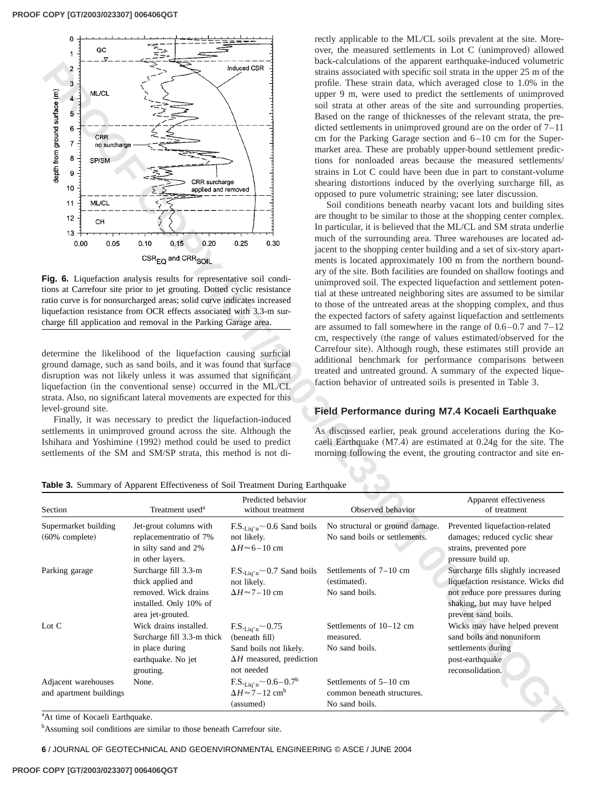

**Fig. 6.** Liquefaction analysis results for representative soil conditions at Carrefour site prior to jet grouting. Dotted cyclic resistance ratio curve is for nonsurcharged areas; solid curve indicates increased liquefaction resistance from OCR effects associated with 3.3-m surcharge fill application and removal in the Parking Garage area.

rectly applicable to the ML/CL soils prevalent at the site. Moreover, the measured settlements in Lot C (unimproved) allowed back-calculations of the apparent earthquake-induced volumetric strains associated with specific soil strata in the upper 25 m of the profile. These strain data, which averaged close to 1.0% in the upper 9 m, were used to predict the settlements of unimproved soil strata at other areas of the site and surrounding properties. Based on the range of thicknesses of the relevant strata, the predicted settlements in unimproved ground are on the order of 7–11 cm for the Parking Garage section and 6–10 cm for the Supermarket area. These are probably upper-bound settlement predictions for nonloaded areas because the measured settlements/ strains in Lot C could have been due in part to constant-volume shearing distortions induced by the overlying surcharge fill, as opposed to pure volumetric straining; see later discussion.

# **Field Performance during M7.4 Kocaeli Earthquake**

**Table 3.** Summary of Apparent Effectiveness of Soil Treatment During Earthquake

| depth from ground surface (m)<br>ML/CL<br>4<br>5<br>6<br><b>CRR</b><br>7<br>no surcharge<br>8<br>SP/SM<br>9<br>10<br>11<br>ML/CL<br>12<br>CН<br>$13 +$<br>0.00<br>0.05 | CRR surcharge<br>applied and removed<br>0.10<br>0.15<br>0.20<br>CSR <sub>EQ</sub> and CRR <sub>SOIL</sub><br>Fig. 6. Liquefaction analysis results for representative soil condi-<br>tions at Carrefour site prior to jet grouting. Dotted cyclic resistance<br>ratio curve is for nonsurcharged areas; solid curve indicates increased<br>liquefaction resistance from OCR effects associated with 3.3-m sur-<br>charge fill application and removal in the Parking Garage area.                                                                    | 0.25<br>$0.30\,$                                                                                                                 | profile. These strain data, which averaged close to 1.0% in the<br>opposed to pure volumetric straining; see later discussion. | upper 9 m, were used to predict the settlements of unimproved<br>soil strata at other areas of the site and surrounding properties.<br>Based on the range of thicknesses of the relevant strata, the pre-<br>dicted settlements in unimproved ground are on the order of $7-11$<br>cm for the Parking Garage section and $6-10$ cm for the Super-<br>market area. These are probably upper-bound settlement predic-<br>tions for nonloaded areas because the measured settlements/<br>strains in Lot C could have been due in part to constant-volume<br>shearing distortions induced by the overlying surcharge fill, as<br>Soil conditions beneath nearby vacant lots and building sites<br>are thought to be similar to those at the shopping center complex.<br>In particular, it is believed that the ML/CL and SM strata underlie<br>much of the surrounding area. Three warehouses are located ad-<br>jacent to the shopping center building and a set of six-story apart-<br>ments is located approximately 100 m from the northern bound-<br>ary of the site. Both facilities are founded on shallow footings and<br>unimproved soil. The expected liquefaction and settlement poten-<br>tial at these untreated neighboring sites are assumed to be similar<br>to those of the untreated areas at the shopping complex, and thus<br>the expected factors of safety against liquefaction and settlements<br>are assumed to fall somewhere in the range of $0.6-0.7$ and $7-12$<br>cm, respectively (the range of values estimated/observed for the<br>Carrefour site). Although rough, these estimates still provide an |
|------------------------------------------------------------------------------------------------------------------------------------------------------------------------|------------------------------------------------------------------------------------------------------------------------------------------------------------------------------------------------------------------------------------------------------------------------------------------------------------------------------------------------------------------------------------------------------------------------------------------------------------------------------------------------------------------------------------------------------|----------------------------------------------------------------------------------------------------------------------------------|--------------------------------------------------------------------------------------------------------------------------------|----------------------------------------------------------------------------------------------------------------------------------------------------------------------------------------------------------------------------------------------------------------------------------------------------------------------------------------------------------------------------------------------------------------------------------------------------------------------------------------------------------------------------------------------------------------------------------------------------------------------------------------------------------------------------------------------------------------------------------------------------------------------------------------------------------------------------------------------------------------------------------------------------------------------------------------------------------------------------------------------------------------------------------------------------------------------------------------------------------------------------------------------------------------------------------------------------------------------------------------------------------------------------------------------------------------------------------------------------------------------------------------------------------------------------------------------------------------------------------------------------------------------------------------------------------------------------------------------------------------------------------|
| determine the likelihood of the liquefaction causing surficial<br>level-ground site.                                                                                   | ground damage, such as sand boils, and it was found that surface<br>disruption was not likely unless it was assumed that significant<br>liquefaction (in the conventional sense) occurred in the ML/CL<br>strata. Also, no significant lateral movements are expected for this<br>Finally, it was necessary to predict the liquefaction-induced<br>settlements in unimproved ground across the site. Although the<br>Ishihara and Yoshimine (1992) method could be used to predict<br>settlements of the SM and SM/SP strata, this method is not di- |                                                                                                                                  | faction behavior of untreated soils is presented in Table 3.<br>Field Performance during M7.4 Kocaeli Earthquake               | additional benchmark for performance comparisons between<br>treated and untreated ground. A summary of the expected lique-<br>As discussed earlier, peak ground accelerations during the Ko-<br>caeli Earthquake (M7.4) are estimated at 0.24g for the site. The<br>morning following the event, the grouting contractor and site en-                                                                                                                                                                                                                                                                                                                                                                                                                                                                                                                                                                                                                                                                                                                                                                                                                                                                                                                                                                                                                                                                                                                                                                                                                                                                                            |
|                                                                                                                                                                        | Table 3. Summary of Apparent Effectiveness of Soil Treatment During Earthquake                                                                                                                                                                                                                                                                                                                                                                                                                                                                       | Predicted behavior                                                                                                               |                                                                                                                                | Apparent effectiveness                                                                                                                                                                                                                                                                                                                                                                                                                                                                                                                                                                                                                                                                                                                                                                                                                                                                                                                                                                                                                                                                                                                                                                                                                                                                                                                                                                                                                                                                                                                                                                                                           |
| Section                                                                                                                                                                | Treatment used <sup>a</sup>                                                                                                                                                                                                                                                                                                                                                                                                                                                                                                                          | without treatment                                                                                                                | Observed behavior                                                                                                              | of treatment                                                                                                                                                                                                                                                                                                                                                                                                                                                                                                                                                                                                                                                                                                                                                                                                                                                                                                                                                                                                                                                                                                                                                                                                                                                                                                                                                                                                                                                                                                                                                                                                                     |
| Supermarket building<br>$(60\%$ complete)                                                                                                                              | Jet-grout columns with<br>replacementratio of 7%<br>in silty sand and 2%                                                                                                                                                                                                                                                                                                                                                                                                                                                                             | $\text{F.S.}_{\text{Liq'n}} \sim 0.6$ Sand boils<br>not likely.<br>$\Delta H \approx 6 - 10$ cm                                  | No structural or ground damage.<br>No sand boils or settlements.                                                               | Prevented liquefaction-related<br>damages; reduced cyclic shear<br>strains, prevented pore                                                                                                                                                                                                                                                                                                                                                                                                                                                                                                                                                                                                                                                                                                                                                                                                                                                                                                                                                                                                                                                                                                                                                                                                                                                                                                                                                                                                                                                                                                                                       |
| Parking garage                                                                                                                                                         | in other layers.<br>Surcharge fill 3.3-m<br>thick applied and<br>removed. Wick drains<br>installed. Only 10% of                                                                                                                                                                                                                                                                                                                                                                                                                                      | $\text{F.S.}_{\text{Liq'n}} \sim 0.7$ Sand boils<br>not likely.<br>$\Delta H \approx 7 - 10$ cm                                  | Settlements of $7-10$ cm<br>(estimated).<br>No sand boils.                                                                     | pressure build up.<br>Surcharge fills slightly increased<br>liquefaction resistance. Wicks did<br>not reduce pore pressures during<br>shaking, but may have helped                                                                                                                                                                                                                                                                                                                                                                                                                                                                                                                                                                                                                                                                                                                                                                                                                                                                                                                                                                                                                                                                                                                                                                                                                                                                                                                                                                                                                                                               |
| Lot C                                                                                                                                                                  | area jet-grouted.<br>Wick drains installed.<br>Surcharge fill 3.3-m thick<br>in place during<br>earthquake. No jet<br>grouting.                                                                                                                                                                                                                                                                                                                                                                                                                      | $F.S.$ <sub>Liq'n</sub> $\sim$ 0.75<br>(beneath fill)<br>Sand boils not likely.<br>$\Delta H$ measured, prediction<br>not needed | Settlements of 10-12 cm<br>measured.<br>No sand boils.                                                                         | prevent sand boils.<br>Wicks may have helped prevent<br>sand boils and nonuniform<br>settlements during<br>post-earthquake<br>reconsolidation.                                                                                                                                                                                                                                                                                                                                                                                                                                                                                                                                                                                                                                                                                                                                                                                                                                                                                                                                                                                                                                                                                                                                                                                                                                                                                                                                                                                                                                                                                   |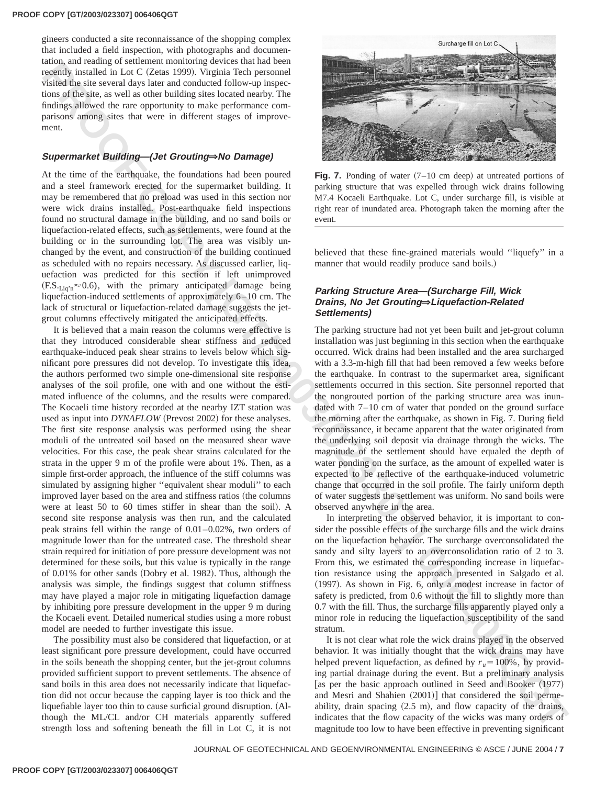gineers conducted a site reconnaissance of the shopping complex that included a field inspection, with photographs and documentation, and reading of settlement monitoring devices that had been recently installed in Lot C (Zetas 1999). Virginia Tech personnel visited the site several days later and conducted follow-up inspections of the site, as well as other building sites located nearby. The findings allowed the rare opportunity to make performance comparisons among sites that were in different stages of improvement.

# **Supermarket Building—(Jet Grouting×No Damage)**

At the time of the earthquake, the foundations had been poured and a steel framework erected for the supermarket building. It may be remembered that no preload was used in this section nor were wick drains installed. Post-earthquake field inspections found no structural damage in the building, and no sand boils or liquefaction-related effects, such as settlements, were found at the building or in the surrounding lot. The area was visibly unchanged by the event, and construction of the building continued as scheduled with no repairs necessary. As discussed earlier, liquefaction was predicted for this section if left unimproved  $(F.S._{\text{Lia'n}} \approx 0.6)$ , with the primary anticipated damage being liquefaction-induced settlements of approximately 6–10 cm. The lack of structural or liquefaction-related damage suggests the jetgrout columns effectively mitigated the anticipated effects.

**REGULAR CONFERENCE AND THE CONFERENCE AND THE CONFERENCE AND THE CONFERENCE AND THE CONFERENCE AND THE CONFERENCE AND THE CONFERENCE AND THE CONFERENCE AND THE CONFERENCE AND THE CONFERENCE AND THE CONFERENCE AND THE CON** It is believed that a main reason the columns were effective is that they introduced considerable shear stiffness and reduced earthquake-induced peak shear strains to levels below which significant pore pressures did not develop. To investigate this idea, the authors performed two simple one-dimensional site response analyses of the soil profile, one with and one without the estimated influence of the columns, and the results were compared. The Kocaeli time history recorded at the nearby IZT station was used as input into *DYNAFLOW* (Prevost 2002) for these analyses. The first site response analysis was performed using the shear moduli of the untreated soil based on the measured shear wave velocities. For this case, the peak shear strains calculated for the strata in the upper 9 m of the profile were about 1%. Then, as a simple first-order approach, the influence of the stiff columns was simulated by assigning higher ''equivalent shear moduli'' to each improved layer based on the area and stiffness ratios (the columns were at least 50 to 60 times stiffer in shear than the soil). A second site response analysis was then run, and the calculated peak strains fell within the range of 0.01–0.02%, two orders of magnitude lower than for the untreated case. The threshold shear strain required for initiation of pore pressure development was not determined for these soils, but this value is typically in the range of 0.01% for other sands (Dobry et al. 1982). Thus, although the analysis was simple, the findings suggest that column stiffness may have played a major role in mitigating liquefaction damage by inhibiting pore pressure development in the upper 9 m during the Kocaeli event. Detailed numerical studies using a more robust model are needed to further investigate this issue.

The possibility must also be considered that liquefaction, or at least significant pore pressure development, could have occurred in the soils beneath the shopping center, but the jet-grout columns provided sufficient support to prevent settlements. The absence of sand boils in this area does not necessarily indicate that liquefaction did not occur because the capping layer is too thick and the liquefiable layer too thin to cause surficial ground disruption. (Although the ML/CL and/or CH materials apparently suffered strength loss and softening beneath the fill in Lot C, it is not



**Fig. 7.** Ponding of water  $(7-10 \text{ cm deep})$  at untreated portions of parking structure that was expelled through wick drains following M7.4 Kocaeli Earthquake. Lot C, under surcharge fill, is visible at right rear of inundated area. Photograph taken the morning after the event.

believed that these fine-grained materials would ''liquefy'' in a manner that would readily produce sand boils.)

# **Parking Structure Area—(Surcharge Fill, Wick Drains, No Jet Grouting×Liquefaction-Related Settlements)**

The parking structure had not yet been built and jet-grout column installation was just beginning in this section when the earthquake occurred. Wick drains had been installed and the area surcharged with a 3.3-m-high fill that had been removed a few weeks before the earthquake. In contrast to the supermarket area, significant settlements occurred in this section. Site personnel reported that the nongrouted portion of the parking structure area was inundated with 7–10 cm of water that ponded on the ground surface the morning after the earthquake, as shown in Fig. 7. During field reconnaissance, it became apparent that the water originated from the underlying soil deposit via drainage through the wicks. The magnitude of the settlement should have equaled the depth of water ponding on the surface, as the amount of expelled water is expected to be reflective of the earthquake-induced volumetric change that occurred in the soil profile. The fairly uniform depth of water suggests the settlement was uniform. No sand boils were observed anywhere in the area.

In interpreting the observed behavior, it is important to consider the possible effects of the surcharge fills and the wick drains on the liquefaction behavior. The surcharge overconsolidated the sandy and silty layers to an overconsolidation ratio of 2 to 3. From this, we estimated the corresponding increase in liquefaction resistance using the approach presented in Salgado et al.  $(1997)$ . As shown in Fig. 6, only a modest increase in factor of safety is predicted, from 0.6 without the fill to slightly more than 0.7 with the fill. Thus, the surcharge fills apparently played only a minor role in reducing the liquefaction susceptibility of the sand stratum.

It is not clear what role the wick drains played in the observed behavior. It was initially thought that the wick drains may have helped prevent liquefaction, as defined by  $r_u = 100\%$ , by providing partial drainage during the event. But a preliminary analysis [as per the basic approach outlined in Seed and Booker  $(1977)$ ] and Mesri and Shahien  $(2001)$  that considered the soil permeability, drain spacing  $(2.5 \text{ m})$ , and flow capacity of the drains, indicates that the flow capacity of the wicks was many orders of magnitude too low to have been effective in preventing significant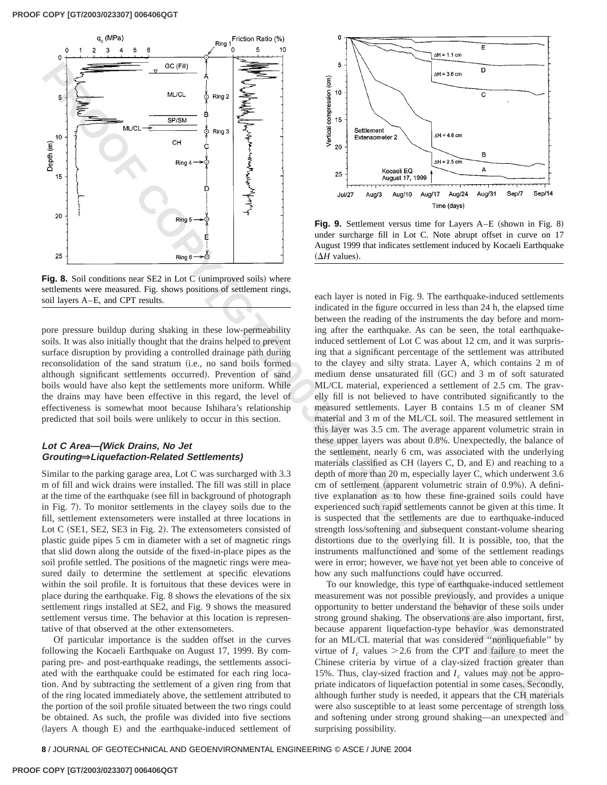

**Fig. 8.** Soil conditions near SE2 in Lot C (unimproved soils) where settlements were measured. Fig. shows positions of settlement rings, soil layers A–E, and CPT results.

pore pressure buildup during shaking in these low-permeability soils. It was also initially thought that the drains helped to prevent surface disruption by providing a controlled drainage path during reconsolidation of the sand stratum (i.e., no sand boils formed although significant settlements occurred). Prevention of sand boils would have also kept the settlements more uniform. While the drains may have been effective in this regard, the level of effectiveness is somewhat moot because Ishihara's relationship predicted that soil boils were unlikely to occur in this section.

# **Lot C Area—(Wick Drains, No Jet Grouting×Liquefaction-Related Settlements)**

Similar to the parking garage area, Lot C was surcharged with 3.3 m of fill and wick drains were installed. The fill was still in place at the time of the earthquake (see fill in background of photograph in Fig. 7). To monitor settlements in the clayey soils due to the fill, settlement extensometers were installed at three locations in Lot  $C$  (SE1, SE2, SE3 in Fig. 2). The extensometers consisted of plastic guide pipes 5 cm in diameter with a set of magnetic rings that slid down along the outside of the fixed-in-place pipes as the soil profile settled. The positions of the magnetic rings were measured daily to determine the settlement at specific elevations within the soil profile. It is fortuitous that these devices were in place during the earthquake. Fig. 8 shows the elevations of the six settlement rings installed at SE2, and Fig. 9 shows the measured settlement versus time. The behavior at this location is representative of that observed at the other extensometers.

Of particular importance is the sudden offset in the curves following the Kocaeli Earthquake on August 17, 1999. By comparing pre- and post-earthquake readings, the settlements associated with the earthquake could be estimated for each ring location. And by subtracting the settlement of a given ring from that of the ring located immediately above, the settlement attributed to the portion of the soil profile situated between the two rings could be obtained. As such, the profile was divided into five sections (layers A though E) and the earthquake-induced settlement of



**Fig. 9.** Settlement versus time for Layers A–E (shown in Fig. 8) under surcharge fill in Lot C. Note abrupt offset in curve on 17 August 1999 that indicates settlement induced by Kocaeli Earthquake  $( \Delta H$  values).

**EXAMPLE AND THE SECTION CONSULTER CONSULTER CONSULTER CONSULTER CONSULTER CONSULTER CONSULTER CONSULTER CONSULTER CONSULTER CONSULTER CONSULTER CONSULTER CONSULTER CONSULTER CONSULTER CONSULTER CONSULTER CONSULTER CONSUL** each layer is noted in Fig. 9. The earthquake-induced settlements indicated in the figure occurred in less than 24 h, the elapsed time between the reading of the instruments the day before and morning after the earthquake. As can be seen, the total earthquakeinduced settlement of Lot C was about 12 cm, and it was surprising that a significant percentage of the settlement was attributed to the clayey and silty strata. Layer A, which contains 2 m of medium dense unsaturated fill (GC) and 3 m of soft saturated ML/CL material, experienced a settlement of 2.5 cm. The gravelly fill is not believed to have contributed significantly to the measured settlements. Layer B contains 1.5 m of cleaner SM material and 3 m of the ML/CL soil. The measured settlement in this layer was 3.5 cm. The average apparent volumetric strain in these upper layers was about 0.8%. Unexpectedly, the balance of the settlement, nearly 6 cm, was associated with the underlying materials classified as CH (layers C, D, and E) and reaching to a depth of more than 20 m, especially layer C, which underwent 3.6 cm of settlement (apparent volumetric strain of 0.9%). A definitive explanation as to how these fine-grained soils could have experienced such rapid settlements cannot be given at this time. It is suspected that the settlements are due to earthquake-induced strength loss/softening and subsequent constant-volume shearing distortions due to the overlying fill. It is possible, too, that the instruments malfunctioned and some of the settlement readings were in error; however, we have not yet been able to conceive of how any such malfunctions could have occurred.

To our knowledge, this type of earthquake-induced settlement measurement was not possible previously, and provides a unique opportunity to better understand the behavior of these soils under strong ground shaking. The observations are also important, first, because apparent liquefaction-type behavior was demonstrated for an ML/CL material that was considered ''nonliquefiable'' by virtue of  $I_c$  values  $>$  2.6 from the CPT and failure to meet the Chinese criteria by virtue of a clay-sized fraction greater than 15%. Thus, clay-sized fraction and  $I_c$  values may not be appropriate indicators of liquefaction potential in some cases. Secondly, although further study is needed, it appears that the CH materials were also susceptible to at least some percentage of strength loss and softening under strong ground shaking—an unexpected and surprising possibility.

**8** / JOURNAL OF GEOTECHNICAL AND GEOENVIRONMENTAL ENGINEERING © ASCE / JUNE 2004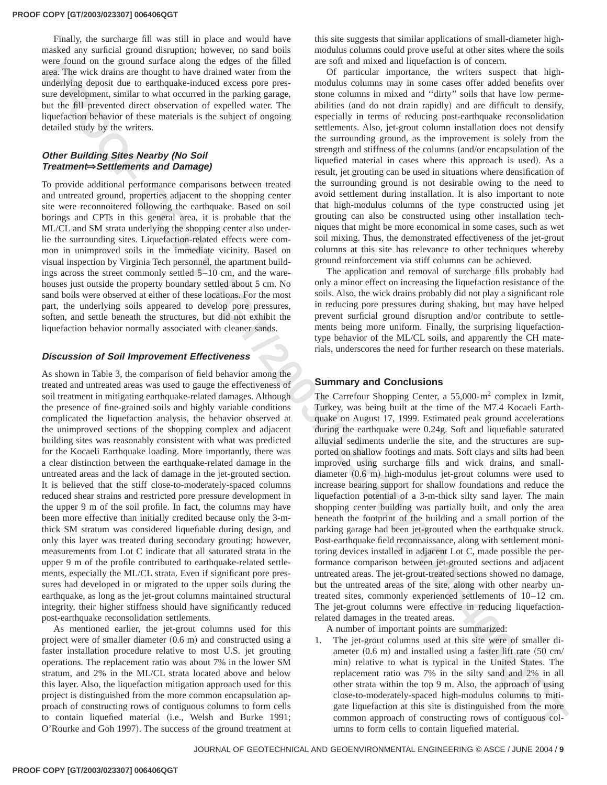Finally, the surcharge fill was still in place and would have masked any surficial ground disruption; however, no sand boils were found on the ground surface along the edges of the filled area. The wick drains are thought to have drained water from the underlying deposit due to earthquake-induced excess pore pressure development, similar to what occurred in the parking garage, but the fill prevented direct observation of expelled water. The liquefaction behavior of these materials is the subject of ongoing detailed study by the writers.

# **Other Building Sites Nearby (No Soil Treatment×Settlements and Damage)**

To provide additional performance comparisons between treated and untreated ground, properties adjacent to the shopping center site were reconnoitered following the earthquake. Based on soil borings and CPTs in this general area, it is probable that the ML/CL and SM strata underlying the shopping center also underlie the surrounding sites. Liquefaction-related effects were common in unimproved soils in the immediate vicinity. Based on visual inspection by Virginia Tech personnel, the apartment buildings across the street commonly settled 5–10 cm, and the warehouses just outside the property boundary settled about 5 cm. No sand boils were observed at either of these locations. For the most part, the underlying soils appeared to develop pore pressures, soften, and settle beneath the structures, but did not exhibit the liquefaction behavior normally associated with cleaner sands.

# **Discussion of Soil Improvement Effectiveness**

where the the method in the probability in the state of the state of the state of the state of the state of the state of the state of the state of the state of the state of the state of the state of the state of the state As shown in Table 3, the comparison of field behavior among the treated and untreated areas was used to gauge the effectiveness of soil treatment in mitigating earthquake-related damages. Although the presence of fine-grained soils and highly variable conditions complicated the liquefaction analysis, the behavior observed at the unimproved sections of the shopping complex and adjacent building sites was reasonably consistent with what was predicted for the Kocaeli Earthquake loading. More importantly, there was a clear distinction between the earthquake-related damage in the untreated areas and the lack of damage in the jet-grouted section. It is believed that the stiff close-to-moderately-spaced columns reduced shear strains and restricted pore pressure development in the upper 9 m of the soil profile. In fact, the columns may have been more effective than initially credited because only the 3-mthick SM stratum was considered liquefiable during design, and only this layer was treated during secondary grouting; however, measurements from Lot C indicate that all saturated strata in the upper 9 m of the profile contributed to earthquake-related settlements, especially the ML/CL strata. Even if significant pore pressures had developed in or migrated to the upper soils during the earthquake, as long as the jet-grout columns maintained structural integrity, their higher stiffness should have significantly reduced post-earthquake reconsolidation settlements.

As mentioned earlier, the jet-grout columns used for this project were of smaller diameter  $(0.6 \text{ m})$  and constructed using a faster installation procedure relative to most U.S. jet grouting operations. The replacement ratio was about 7% in the lower SM stratum, and 2% in the ML/CL strata located above and below this layer. Also, the liquefaction mitigation approach used for this project is distinguished from the more common encapsulation approach of constructing rows of contiguous columns to form cells to contain liquefied material (i.e., Welsh and Burke 1991; O'Rourke and Goh 1997). The success of the ground treatment at

this site suggests that similar applications of small-diameter highmodulus columns could prove useful at other sites where the soils are soft and mixed and liquefaction is of concern.

Of particular importance, the writers suspect that highmodulus columns may in some cases offer added benefits over stone columns in mixed and ''dirty'' soils that have low permeabilities (and do not drain rapidly) and are difficult to densify, especially in terms of reducing post-earthquake reconsolidation settlements. Also, jet-grout column installation does not densify the surrounding ground, as the improvement is solely from the strength and stiffness of the columns (and/or encapsulation of the liquefied material in cases where this approach is used). As a result, jet grouting can be used in situations where densification of the surrounding ground is not desirable owing to the need to avoid settlement during installation. It is also important to note that high-modulus columns of the type constructed using jet grouting can also be constructed using other installation techniques that might be more economical in some cases, such as wet soil mixing. Thus, the demonstrated effectiveness of the jet-grout columns at this site has relevance to other techniques whereby ground reinforcement via stiff columns can be achieved.

The application and removal of surcharge fills probably had only a minor effect on increasing the liquefaction resistance of the soils. Also, the wick drains probably did not play a significant role in reducing pore pressures during shaking, but may have helped prevent surficial ground disruption and/or contribute to settlements being more uniform. Finally, the surprising liquefactiontype behavior of the ML/CL soils, and apparently the CH materials, underscores the need for further research on these materials.

# **Summary and Conclusions**

The Carrefour Shopping Center, a  $55,000 \text{--} m^2$  complex in Izmit, Turkey, was being built at the time of the M7.4 Kocaeli Earthquake on August 17, 1999. Estimated peak ground accelerations during the earthquake were 0.24g. Soft and liquefiable saturated alluvial sediments underlie the site, and the structures are supported on shallow footings and mats. Soft clays and silts had been improved using surcharge fills and wick drains, and smalldiameter  $(0.6 \text{ m})$  high-modulus jet-grout columns were used to increase bearing support for shallow foundations and reduce the liquefaction potential of a 3-m-thick silty sand layer. The main shopping center building was partially built, and only the area beneath the footprint of the building and a small portion of the parking garage had been jet-grouted when the earthquake struck. Post-earthquake field reconnaissance, along with settlement monitoring devices installed in adjacent Lot C, made possible the performance comparison between jet-grouted sections and adjacent untreated areas. The jet-grout-treated sections showed no damage, but the untreated areas of the site, along with other nearby untreated sites, commonly experienced settlements of 10–12 cm. The jet-grout columns were effective in reducing liquefactionrelated damages in the treated areas.

A number of important points are summarized:

1. The jet-grout columns used at this site were of smaller diameter  $(0.6 \text{ m})$  and installed using a faster lift rate  $(50 \text{ cm})$ min) relative to what is typical in the United States. The replacement ratio was 7% in the silty sand and 2% in all other strata within the top 9 m. Also, the approach of using close-to-moderately-spaced high-modulus columns to mitigate liquefaction at this site is distinguished from the more common approach of constructing rows of contiguous columns to form cells to contain liquefied material.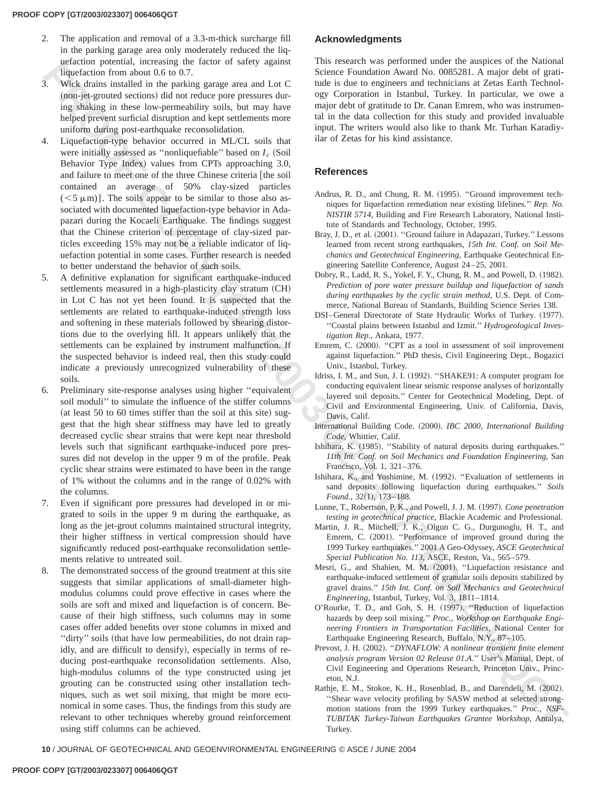- 2. The application and removal of a 3.3-m-thick surcharge fill in the parking garage area only moderately reduced the liquefaction potential, increasing the factor of safety against liquefaction from about 0.6 to 0.7.
- 3. Wick drains installed in the parking garage area and Lot C (non-jet-grouted sections) did not reduce pore pressures during shaking in these low-permeability soils, but may have helped prevent surficial disruption and kept settlements more uniform during post-earthquake reconsolidation.
- 4. Liquefaction-type behavior occurred in ML/CL soils that were initially assessed as "nonliquefiable" based on  $I_c$  (Soil Behavior Type Index) values from CPTs approaching 3.0, and failure to meet one of the three Chinese criteria [the soil contained an average of 50% clay-sized particles  $(<5 \mu m)$ ]. The soils appear to be similar to those also associated with documented liquefaction-type behavior in Adapazari during the Kocaeli Earthquake. The findings suggest that the Chinese criterion of percentage of clay-sized particles exceeding 15% may not be a reliable indicator of liquefaction potential in some cases. Further research is needed to better understand the behavior of such soils.
- 5. A definitive explanation for significant earthquake-induced settlements measured in a high-plasticity clay stratum (CH) in Lot C has not yet been found. It is suspected that the settlements are related to earthquake-induced strength loss and softening in these materials followed by shearing distortions due to the overlying fill. It appears unlikely that the settlements can be explained by instrument malfunction. If the suspected behavior is indeed real, then this study could indicate a previously unrecognized vulnerability of these soils.
- 6. Preliminary site-response analyses using higher ''equivalent soil moduli'' to simulate the influence of the stiffer columns (at least 50 to 60 times stiffer than the soil at this site) suggest that the high shear stiffness may have led to greatly decreased cyclic shear strains that were kept near threshold levels such that significant earthquake-induced pore pressures did not develop in the upper 9 m of the profile. Peak cyclic shear strains were estimated to have been in the range of 1% without the columns and in the range of 0.02% with the columns.
- 7. Even if significant pore pressures had developed in or migrated to soils in the upper 9 m during the earthquake, as long as the jet-grout columns maintained structural integrity, their higher stiffness in vertical compression should have significantly reduced post-earthquake reconsolidation settlements relative to untreated soil.
- **EXAMPLE PERSONS INTO A CONSERVATION CONSERVATION CONSERVATION CONSERVATION CONSERVATION CONSERVATION CONSERVATION CONSERVATION CONSERVATION CONSERVATION CONSERVATION CONSERVATION CONSERVATION CONSERVATION CONSERVATION CO** 8. The demonstrated success of the ground treatment at this site suggests that similar applications of small-diameter highmodulus columns could prove effective in cases where the soils are soft and mixed and liquefaction is of concern. Because of their high stiffness, such columns may in some cases offer added benefits over stone columns in mixed and "dirty" soils (that have low permeabilities, do not drain rapidly, and are difficult to densify), especially in terms of reducing post-earthquake reconsolidation settlements. Also, high-modulus columns of the type constructed using jet grouting can be constructed using other installation techniques, such as wet soil mixing, that might be more economical in some cases. Thus, the findings from this study are relevant to other techniques whereby ground reinforcement using stiff columns can be achieved.

# **Acknowledgments**

This research was performed under the auspices of the National Science Foundation Award No. 0085281. A major debt of gratitude is due to engineers and technicians at Zetas Earth Technology Corporation in Istanbul, Turkey. In particular, we owe a major debt of gratitude to Dr. Canan Emrem, who was instrumental in the data collection for this study and provided invaluable input. The writers would also like to thank Mr. Turhan Karadiyilar of Zetas for his kind assistance.

# **References**

- Andrus, R. D., and Chung, R. M. (1995). "Ground improvement techniques for liquefaction remediation near existing lifelines.'' *Rep. No. NISTIR 5714*, Building and Fire Research Laboratory, National Institute of Standards and Technology, October, 1995.
- Bray, J. D., et al. (2001). "Ground failure in Adapazari, Turkey." Lessons learned from recent strong earthquakes, *15th Int. Conf. on Soil Mechanics and Geotechnical Engineering*, Earthquake Geotechnical Engineering Satellite Conference, August 24–25, 2001.
- Dobry, R., Ladd, R. S., Yokel, F. Y., Chung, R. M., and Powell, D. (1982). *Prediction of pore water pressure buildup and liquefaction of sands during earthquakes by the cyclic strain method*, U.S. Dept. of Commerce, National Bureau of Standards, Building Science Series 138.
- DSI-General Directorate of State Hydraulic Works of Turkey. (1977). ''Coastal plains between Istanbul and Izmit.'' *Hydrogeological Investigation Rep.*, Ankara, 1977.
- Emrem, C. (2000). "CPT as a tool in assessment of soil improvement against liquefaction.'' PhD thesis, Civil Engineering Dept., Bogazici Univ., Istanbul, Turkey.
- Idriss, I. M., and Sun, J. I. (1992). "SHAKE91: A computer program for conducting equivalent linear seismic response analyses of horizontally layered soil deposits.'' Center for Geotechnical Modeling, Dept. of Civil and Environmental Engineering, Univ. of California, Davis, Davis, Calif.
- International Building Code. (2000). *IBC 2000, International Building Code*, Whittier, Calif.
- Ishihara, K. (1985). "Stability of natural deposits during earthquakes." *11th Int. Conf. on Soil Mechanics and Foundation Engineering*, San Francisco, Vol. 1, 321–376.
- Ishihara, K., and Yoshimine, M. (1992). "Evaluation of settlements in sand deposits following liquefaction during earthquakes.'' *Soils* Found., 32(1), 173-188.
- Lunne, T., Robertson, P. K., and Powell, J. J. M. (1997). *Cone penetration testing in geotechnical practice*, Blackie Academic and Professional.
- Martin, J. R., Mitchell, J. K., Olgun C. G., Durgunoglu, H. T., and Emrem, C. (2001). "Performance of improved ground during the 1999 Turkey earthquakes.'' 2001 A Geo-Odyssey, *ASCE Geotechnical Special Publication No. 113*, ASCE, Reston, Va., 565–579.
- Mesri, G., and Shahien, M. M. (2001). "Liquefaction resistance and earthquake-induced settlement of granular soils deposits stabilized by gravel drains.'' *15th Int. Conf. on Soil Mechanics and Geotechnical Engineering*, Istanbul, Turkey, Vol. 3, 1811–1814.
- O'Rourke, T. D., and Goh, S. H. (1997). "Reduction of liquefaction hazards by deep soil mixing.'' *Proc., Workshop on Earthquake Engineering Frontiers in Transportation Facilities*, National Center for Earthquake Engineering Research, Buffalo, N.Y., 87–105.
- Prevost, J. H. (2002). "*DYNAFLOW: A nonlinear transient finite element analysis program Version 02 Release 01.A*.'' User's Manual, Dept. of Civil Engineering and Operations Research, Princeton Univ., Princeton, N.J.
- Rathje, E. M., Stokoe, K. H., Rosenblad, B., and Darendeli, M. (2002). ''Shear wave velocity profiling by SASW method at selected strongmotion stations from the 1999 Turkey earthquakes.'' *Proc., NSF-TUBITAK Turkey-Taiwan Earthquakes Grantee Workshop*, Antalya, Turkey.

**10** / JOURNAL OF GEOTECHNICAL AND GEOENVIRONMENTAL ENGINEERING © ASCE / JUNE 2004